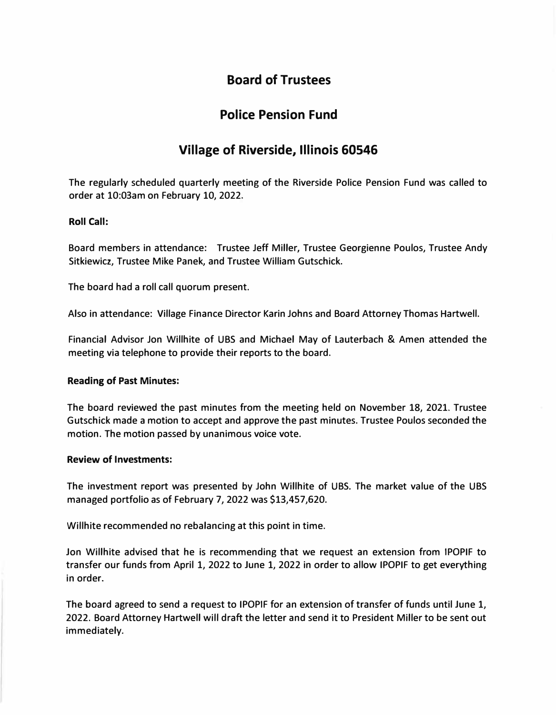# **Board of Trustees**

# **Police Pension Fund**

# **Village of Riverside, Illinois 60546**

The regularly scheduled quarterly meeting of the Riverside Police Pension Fund was called to order at 10:03am on February 10, 2022.

## **Roll Call:**

Board members in attendance: Trustee Jeff Miller, Trustee Georgienne Poulos, Trustee Andy Sitkiewicz, Trustee Mike Panek, and Trustee William Gutschick.

The board had a roll call quorum present.

Also in attendance: Village Finance Director Karin Johns and Board Attorney Thomas Hartwell.

Financial Advisor Jon Willhite of UBS and Michael May of Lauterbach & Amen attended the meeting via telephone to provide their reports to the board.

### **Reading of Past Minutes:**

The board reviewed the past minutes from the meeting held on November 18, 2021. Trustee Gutschick made a motion to accept and approve the past minutes. Trustee Poulos seconded the motion. The motion passed by unanimous voice vote.

### **Review of Investments:**

The investment report was presented by John Willhite of UBS. The market value of the UBS managed portfolio as of February 7, 2022 was \$13,457,620.

Willhite recommended no rebalancing at this point in time.

Jon Willhite advised that he is recommending that we request an extension from IPOPIF to transfer our funds from April 1, 2022 to June 1, 2022 in order to allow IPOPIF to get everything in order.

The board agreed to send a request to IPOPIF for an extension of transfer of funds until June 1, 2022. Board Attorney Hartwell will draft the letter and send it to President Miller to be sent out immediately.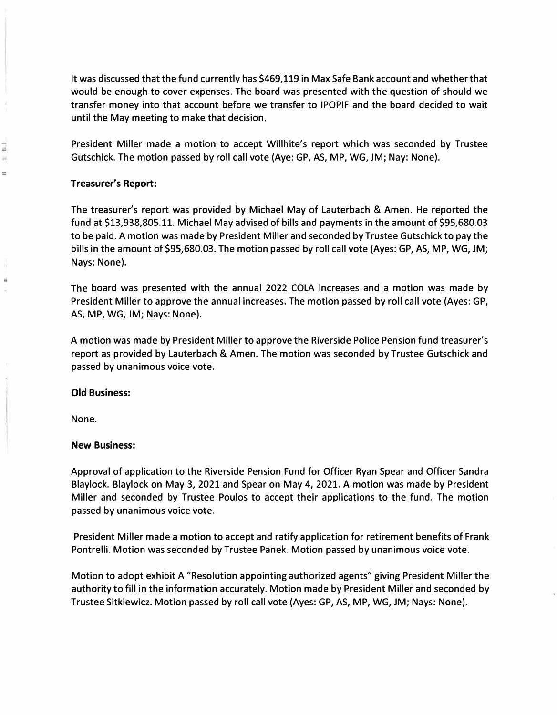It was discussed that the fund currently has \$469,119 in Max Safe Bank account and whether that would be enough to cover expenses. The board was presented with the question of should we transfer money into that account before we transfer to IPOPIF and the board decided to wait until the May meeting to make that decision.

President Miller made a motion to accept Willhite's report which was seconded by Trustee Gutschick. The motion passed by roll call vote (Aye: GP, AS, MP, WG, JM; Nay: None).

## **Treasurer's Report:**

- --l

=

The treasurer's report was provided by Michael May of Lauterbach & Amen. He reported the fund at \$13,938,805.11. Michael May advised of bills and payments in the amount of \$95,680.03 to be paid. A motion was made by President Miller and seconded by Trustee Gutschick to pay the bills in the amount of \$95,680.03. The motion passed by roll call vote (Ayes: GP, AS, MP, WG, JM; Nays: None).

The board was presented with the annual 2022 COLA increases and a motion was made by President Miller to approve the annual increases. The motion passed by roll call vote (Ayes: GP, AS, MP, WG, JM; Nays: None).

A motion was made by President Miller to approve the Riverside Police Pension fund treasurer's report as provided by Lauterbach & Amen. The motion was seconded by Trustee Gutschick and passed by unanimous voice vote.

### **Old Business:**

None.

## **New Business:**

Approval of application to the Riverside Pension Fund for Officer Ryan Spear and Officer Sandra Blaylock. Blaylock on May 3, 2021 and Spear on May 4, 2021. A motion was made by President Miller and seconded by Trustee Poulos to accept their applications to the fund. The motion passed by unanimous voice vote.

President Miller made a motion to accept and ratify application for retirement benefits of Frank Pontrelli. Motion was seconded by Trustee Panek. Motion passed by unanimous voice vote.

Motion to adopt exhibit A "Resolution appointing authorized agents" giving President Miller the authority to fill in the information accurately. Motion made by President Miller and seconded by Trustee Sitkiewicz. Motion passed by roll call vote (Ayes: GP, AS, MP, WG, JM; Nays: None).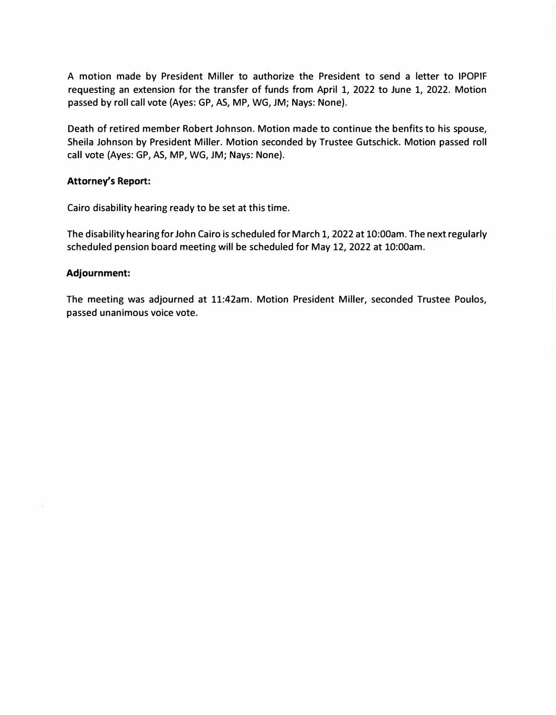A motion made by President Miller to authorize the President to send a letter to IPOPIF requesting an extension for the transfer of funds from April 1, 2022 to June 1, 2022. Motion passed by roll call vote (Ayes: GP, AS, MP, WG, JM; Nays: None).

Death of retired member Robert Johnson. Motion made to continue the benfits to his spouse, Sheila Johnson by President Miller. Motion seconded by Trustee Gutschick. Motion passed roll call vote (Ayes: GP, AS, MP, WG, JM; Nays: None).

#### **Attorney's Report:**

Cairo disability hearing ready to be set at this time.

The disability hearing for John Cairo is scheduled for March 1, 2022 at 10:00am. The next regularly scheduled pension board meeting will be scheduled for May 12, 2022 at 10:00am.

#### **Adjournment:**

The meeting was adjourned at 11:42am. Motion President Miller, seconded Trustee Poulos, passed unanimous voice vote.